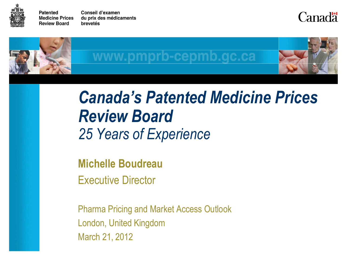

**Patented** Conseil d'examen **Medicine Prices** du prix des médicaments **Review Board** brevetés

Canadä



w.pmprb-cepmb.gc.ca



## *Canada's Patented Medicine Prices Review Board 25 Years of Experience*

**Michelle Boudreau**

Executive Director

Pharma Pricing and Market Access Outlook London, United Kingdom March 21, 2012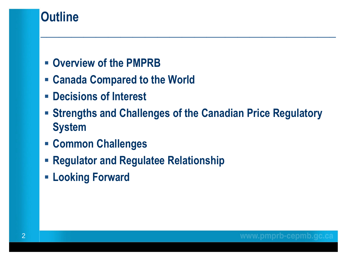## **Outline**

- **Overview of the PMPRB**
- **Canada Compared to the World**
- **Decisions of Interest**
- **Strengths and Challenges of the Canadian Price Regulatory System**

- **Common Challenges**
- **Regulator and Regulatee Relationship**
- **Looking Forward**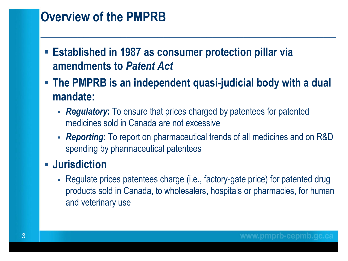## **Overview of the PMPRB**

- **Established in 1987 as consumer protection pillar via amendments to** *Patent Act*
- **The PMPRB is an independent quasi-judicial body with a dual mandate:**

**\_\_\_\_\_\_\_\_\_\_\_\_\_\_\_\_\_\_\_\_\_\_\_\_\_\_\_\_\_\_\_\_\_\_\_\_\_\_\_\_\_\_\_\_\_\_\_\_**

- *Regulatory***:** To ensure that prices charged by patentees for patented medicines sold in Canada are not excessive
- *Reporting***:** To report on pharmaceutical trends of all medicines and on R&D spending by pharmaceutical patentees

#### **Jurisdiction**

 Regulate prices patentees charge (i.e., factory-gate price) for patented drug products sold in Canada, to wholesalers, hospitals or pharmacies, for human and veterinary use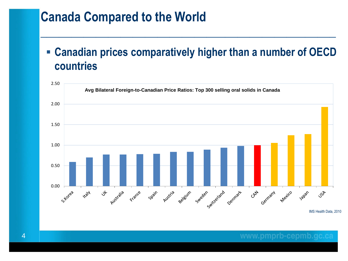#### **Canada Compared to the World**

#### **Canadian prices comparatively higher than a number of OECD countries**

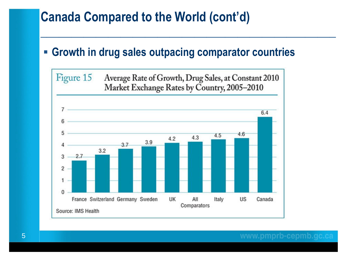## **Canada Compared to the World (cont'd)**

#### **Growth in drug sales outpacing comparator countries**

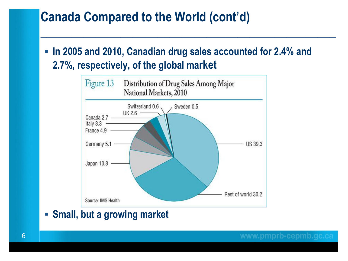#### **Canada Compared to the World (cont'd)**

 **In 2005 and 2010, Canadian drug sales accounted for 2.4% and 2.7%, respectively, of the global market**

**\_\_\_\_\_\_\_\_\_\_\_\_\_\_\_\_\_\_\_\_\_\_\_\_\_\_\_\_\_\_\_\_\_\_\_\_\_\_\_\_\_\_\_\_\_\_\_\_**



**Small, but a growing market**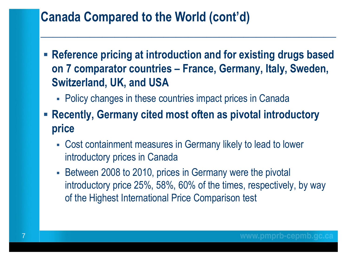## **Canada Compared to the World (cont'd)**

 **Reference pricing at introduction and for existing drugs based on 7 comparator countries – France, Germany, Italy, Sweden, Switzerland, UK, and USA**

- Policy changes in these countries impact prices in Canada
- **Recently, Germany cited most often as pivotal introductory price**
	- Cost containment measures in Germany likely to lead to lower introductory prices in Canada
	- Between 2008 to 2010, prices in Germany were the pivotal introductory price 25%, 58%, 60% of the times, respectively, by way of the Highest International Price Comparison test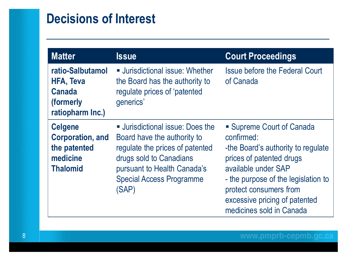## **Decisions of Interest**

| <b>Matter</b>                                                                            | <b>Issue</b>                                                                                                                                                                                                  | <b>Court Proceedings</b>                                                                                                                                                                                                                                       |
|------------------------------------------------------------------------------------------|---------------------------------------------------------------------------------------------------------------------------------------------------------------------------------------------------------------|----------------------------------------------------------------------------------------------------------------------------------------------------------------------------------------------------------------------------------------------------------------|
| ratio-Salbutamol<br><b>HFA, Teva</b><br><b>Canada</b><br>(formerly<br>ratiopharm Inc.)   | <b>Jurisdictional issue: Whether</b><br>the Board has the authority to<br>regulate prices of 'patented<br>generics'                                                                                           | <b>Issue before the Federal Court</b><br>of Canada                                                                                                                                                                                                             |
| <b>Celgene</b><br><b>Corporation, and</b><br>the patented<br>medicine<br><b>Thalomid</b> | <b>Jurisdictional issue: Does the</b><br>Board have the authority to<br>regulate the prices of patented<br>drugs sold to Canadians<br>pursuant to Health Canada's<br><b>Special Access Programme</b><br>(SAP) | • Supreme Court of Canada<br>confirmed:<br>-the Board's authority to regulate<br>prices of patented drugs<br>available under SAP<br>- the purpose of the legislation to<br>protect consumers from<br>excessive pricing of patented<br>medicines sold in Canada |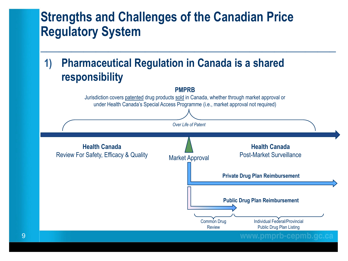**\_\_\_\_\_\_\_\_\_\_\_\_\_\_\_\_\_\_\_\_\_\_\_\_\_\_\_\_\_\_\_\_\_\_\_\_\_\_\_\_\_\_\_\_\_\_\_\_**

#### **1) Pharmaceutical Regulation in Canada is a shared responsibility**

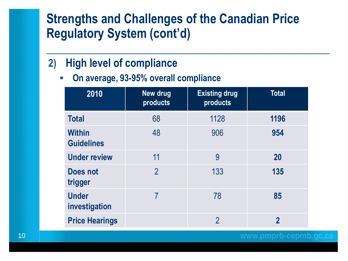**\_\_\_\_\_\_\_\_\_\_\_\_\_\_\_\_\_\_\_\_\_\_\_\_\_\_\_\_\_\_\_\_\_\_\_\_\_\_\_\_\_\_\_\_\_\_**

#### **2) High level of compliance**

**On average, 93-95% overall compliance**

| 2010                               | <b>New drug</b><br>products | <b>Existing drug</b><br>products | <b>Total</b>   |
|------------------------------------|-----------------------------|----------------------------------|----------------|
| <b>Total</b>                       | 68                          | 1128                             | 1196           |
| <b>Within</b><br><b>Guidelines</b> | 48                          | 906                              | 954            |
| <b>Under review</b>                | 11                          | 9                                | <b>20</b>      |
| Does not<br>trigger                | $\overline{2}$              | 133                              | 135            |
| <b>Under</b><br>investigation      |                             | 78                               | 85             |
| <b>Price Hearings</b>              |                             | $\overline{2}$                   | $\overline{2}$ |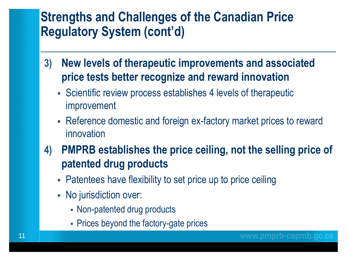**3) New levels of therapeutic improvements and associated price tests better recognize and reward innovation**

- Scientific review process establishes 4 levels of therapeutic improvement
- Reference domestic and foreign ex-factory market prices to reward innovation
- **4) PMPRB establishes the price ceiling, not the selling price of patented drug products** 
	- Patentees have flexibility to set price up to price ceiling
	- No jurisdiction over:
		- Non-patented drug products
		- Prices beyond the factory-gate prices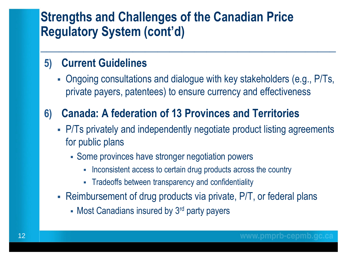#### **5) Current Guidelines**

 Ongoing consultations and dialogue with key stakeholders (e.g., P/Ts, private payers, patentees) to ensure currency and effectiveness

**\_\_\_\_\_\_\_\_\_\_\_\_\_\_\_\_\_\_\_\_\_\_\_\_\_\_\_\_\_\_\_\_\_\_\_\_\_\_\_\_\_\_\_\_\_\_\_\_**

#### **6) Canada: A federation of 13 Provinces and Territories**

- P/Ts privately and independently negotiate product listing agreements for public plans
	- Some provinces have stronger negotiation powers
		- Inconsistent access to certain drug products across the country
		- Tradeoffs between transparency and confidentiality
- Reimbursement of drug products via private, P/T, or federal plans
	- Most Canadians insured by 3<sup>rd</sup> party payers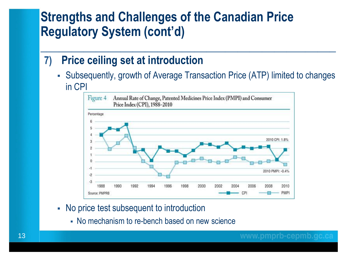#### **7) Price ceiling set at introduction**

 Subsequently, growth of Average Transaction Price (ATP) limited to changes in CPI



- No price test subsequent to introduction
	- No mechanism to re-bench based on new science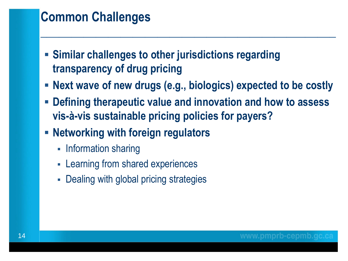## **Common Challenges**

- **Similar challenges to other jurisdictions regarding transparency of drug pricing**
- **Next wave of new drugs (e.g., biologics) expected to be costly**

- **Defining therapeutic value and innovation and how to assess vis-à-vis sustainable pricing policies for payers?**
- **Networking with foreign regulators**
	- Information sharing
	- Learning from shared experiences
	- Dealing with global pricing strategies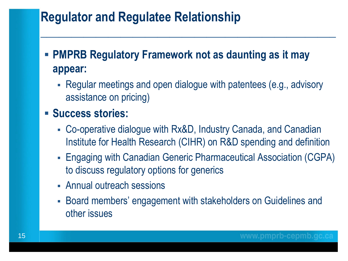## **Regulator and Regulatee Relationship**

#### **PMPRB Regulatory Framework not as daunting as it may appear:**

 Regular meetings and open dialogue with patentees (e.g., advisory assistance on pricing)

**\_\_\_\_\_\_\_\_\_\_\_\_\_\_\_\_\_\_\_\_\_\_\_\_\_\_\_\_\_\_\_\_\_\_\_\_\_\_\_\_\_\_\_\_\_\_\_\_**

#### **Success stories:**

- Co-operative dialogue with Rx&D, Industry Canada, and Canadian Institute for Health Research (CIHR) on R&D spending and definition
- Engaging with Canadian Generic Pharmaceutical Association (CGPA) to discuss regulatory options for generics
- Annual outreach sessions
- Board members' engagement with stakeholders on Guidelines and other issues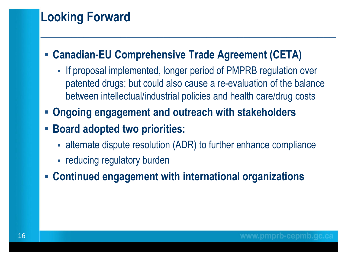## **Looking Forward**

#### **Canadian-EU Comprehensive Trade Agreement (CETA)**

- If proposal implemented, longer period of PMPRB regulation over patented drugs; but could also cause a re-evaluation of the balance between intellectual/industrial policies and health care/drug costs

- **Ongoing engagement and outreach with stakeholders**
- **Board adopted two priorities:** 
	- alternate dispute resolution (ADR) to further enhance compliance
	- reducing regulatory burden
- **Continued engagement with international organizations**